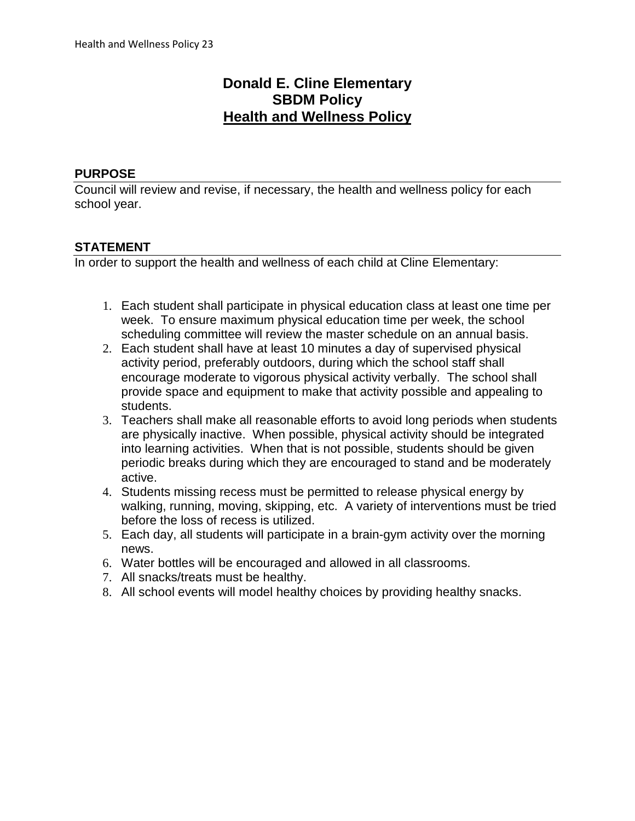# **Donald E. Cline Elementary SBDM Policy Health and Wellness Policy**

### **PURPOSE**

Council will review and revise, if necessary, the health and wellness policy for each school year.

## **STATEMENT**

In order to support the health and wellness of each child at Cline Elementary:

- 1. Each student shall participate in physical education class at least one time per week. To ensure maximum physical education time per week, the school scheduling committee will review the master schedule on an annual basis.
- 2. Each student shall have at least 10 minutes a day of supervised physical activity period, preferably outdoors, during which the school staff shall encourage moderate to vigorous physical activity verbally. The school shall provide space and equipment to make that activity possible and appealing to students.
- 3. Teachers shall make all reasonable efforts to avoid long periods when students are physically inactive. When possible, physical activity should be integrated into learning activities. When that is not possible, students should be given periodic breaks during which they are encouraged to stand and be moderately active.
- 4. Students missing recess must be permitted to release physical energy by walking, running, moving, skipping, etc. A variety of interventions must be tried before the loss of recess is utilized.
- 5. Each day, all students will participate in a brain-gym activity over the morning news.
- 6. Water bottles will be encouraged and allowed in all classrooms.
- 7. All snacks/treats must be healthy.
- 8. All school events will model healthy choices by providing healthy snacks.